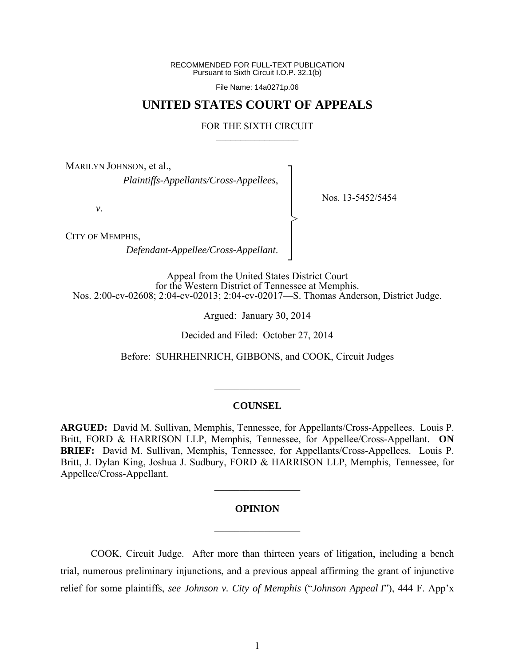RECOMMENDED FOR FULL-TEXT PUBLICATION Pursuant to Sixth Circuit I.O.P. 32.1(b)

File Name: 14a0271p.06

# **UNITED STATES COURT OF APPEALS**

#### FOR THE SIXTH CIRCUIT  $\mathcal{L}_\text{max}$

┐ │ │ │ │ │ │ │ ┘

>

Nos. 13-5452/5454

MARILYN JOHNSON, et al.,

*Plaintiffs-Appellants/Cross-Appellees*,

*v*.

CITY OF MEMPHIS,

*Defendant-Appellee/Cross-Appellant*.

Appeal from the United States District Court for the Western District of Tennessee at Memphis. Nos. 2:00-cv-02608; 2:04-cv-02013; 2:04-cv-02017—S. Thomas Anderson, District Judge.

Argued: January 30, 2014

Decided and Filed: October 27, 2014

Before: SUHRHEINRICH, GIBBONS, and COOK, Circuit Judges

#### **COUNSEL**

 $\frac{1}{2}$ 

**ARGUED:** David M. Sullivan, Memphis, Tennessee, for Appellants/Cross-Appellees. Louis P. Britt, FORD & HARRISON LLP, Memphis, Tennessee, for Appellee/Cross-Appellant. **ON BRIEF:** David M. Sullivan, Memphis, Tennessee, for Appellants/Cross-Appellees. Louis P. Britt, J. Dylan King, Joshua J. Sudbury, FORD & HARRISON LLP, Memphis, Tennessee, for Appellee/Cross-Appellant.

### **OPINION**

 $\mathcal{L}_\text{max}$ 

 $\frac{1}{2}$  ,  $\frac{1}{2}$  ,  $\frac{1}{2}$  ,  $\frac{1}{2}$  ,  $\frac{1}{2}$  ,  $\frac{1}{2}$  ,  $\frac{1}{2}$  ,  $\frac{1}{2}$  ,  $\frac{1}{2}$ 

 COOK, Circuit Judge. After more than thirteen years of litigation, including a bench trial, numerous preliminary injunctions, and a previous appeal affirming the grant of injunctive relief for some plaintiffs, *see Johnson v. City of Memphis* ("*Johnson Appeal I*"), 444 F. App'x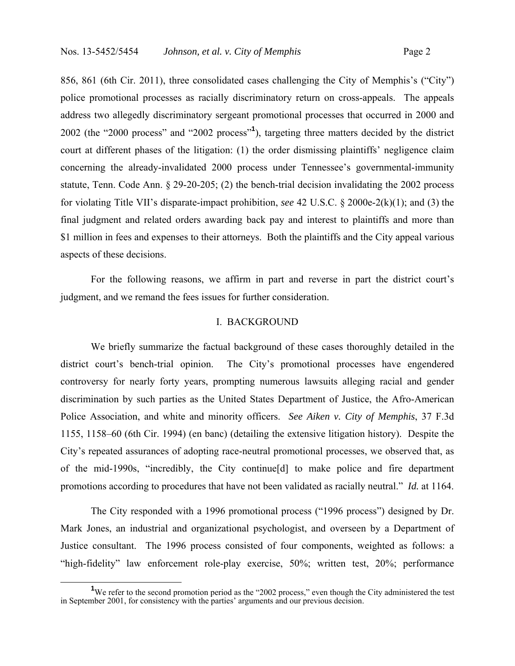856, 861 (6th Cir. 2011), three consolidated cases challenging the City of Memphis's ("City") police promotional processes as racially discriminatory return on cross-appeals. The appeals address two allegedly discriminatory sergeant promotional processes that occurred in 2000 and 2002 (the "2000 process" and "2002 process"**<sup>1</sup>** ), targeting three matters decided by the district court at different phases of the litigation: (1) the order dismissing plaintiffs' negligence claim concerning the already-invalidated 2000 process under Tennessee's governmental-immunity statute, Tenn. Code Ann. § 29-20-205; (2) the bench-trial decision invalidating the 2002 process for violating Title VII's disparate-impact prohibition, *see* 42 U.S.C. § 2000e-2(k)(1); and (3) the final judgment and related orders awarding back pay and interest to plaintiffs and more than \$1 million in fees and expenses to their attorneys. Both the plaintiffs and the City appeal various aspects of these decisions.

For the following reasons, we affirm in part and reverse in part the district court's judgment, and we remand the fees issues for further consideration.

#### I. BACKGROUND

 We briefly summarize the factual background of these cases thoroughly detailed in the district court's bench-trial opinion. The City's promotional processes have engendered controversy for nearly forty years, prompting numerous lawsuits alleging racial and gender discrimination by such parties as the United States Department of Justice, the Afro-American Police Association, and white and minority officers. *See Aiken v. City of Memphis*, 37 F.3d 1155, 1158–60 (6th Cir. 1994) (en banc) (detailing the extensive litigation history). Despite the City's repeated assurances of adopting race-neutral promotional processes, we observed that, as of the mid-1990s, "incredibly, the City continue[d] to make police and fire department promotions according to procedures that have not been validated as racially neutral." *Id.* at 1164.

 The City responded with a 1996 promotional process ("1996 process") designed by Dr. Mark Jones, an industrial and organizational psychologist, and overseen by a Department of Justice consultant. The 1996 process consisted of four components, weighted as follows: a "high-fidelity" law enforcement role-play exercise, 50%; written test, 20%; performance

**<sup>1</sup>** <sup>1</sup>We refer to the second promotion period as the "2002 process," even though the City administered the test in September 2001, for consistency with the parties' arguments and our previous decision.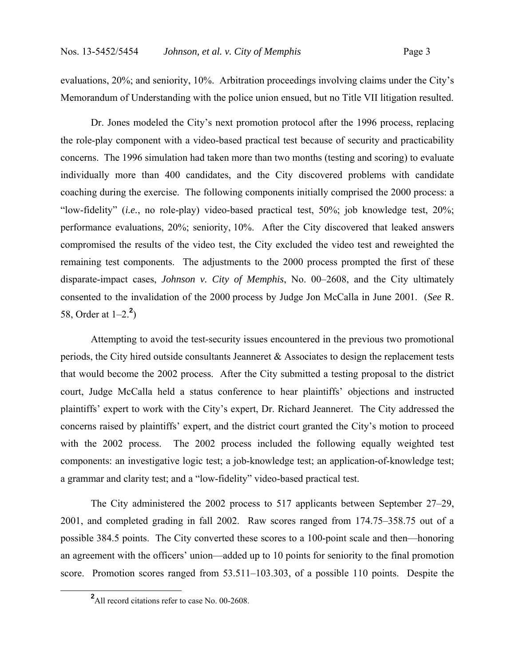evaluations, 20%; and seniority, 10%. Arbitration proceedings involving claims under the City's Memorandum of Understanding with the police union ensued, but no Title VII litigation resulted.

 Dr. Jones modeled the City's next promotion protocol after the 1996 process, replacing the role-play component with a video-based practical test because of security and practicability concerns. The 1996 simulation had taken more than two months (testing and scoring) to evaluate individually more than 400 candidates, and the City discovered problems with candidate coaching during the exercise. The following components initially comprised the 2000 process: a "low-fidelity" (*i.e.*, no role-play) video-based practical test, 50%; job knowledge test, 20%; performance evaluations, 20%; seniority, 10%. After the City discovered that leaked answers compromised the results of the video test, the City excluded the video test and reweighted the remaining test components. The adjustments to the 2000 process prompted the first of these disparate-impact cases, *Johnson v. City of Memphis*, No. 00–2608, and the City ultimately consented to the invalidation of the 2000 process by Judge Jon McCalla in June 2001. (*See* R. 58, Order at 1–2.**<sup>2</sup>** )

 Attempting to avoid the test-security issues encountered in the previous two promotional periods, the City hired outside consultants Jeanneret & Associates to design the replacement tests that would become the 2002 process. After the City submitted a testing proposal to the district court, Judge McCalla held a status conference to hear plaintiffs' objections and instructed plaintiffs' expert to work with the City's expert, Dr. Richard Jeanneret. The City addressed the concerns raised by plaintiffs' expert, and the district court granted the City's motion to proceed with the 2002 process. The 2002 process included the following equally weighted test components: an investigative logic test; a job-knowledge test; an application-of-knowledge test; a grammar and clarity test; and a "low-fidelity" video-based practical test.

 The City administered the 2002 process to 517 applicants between September 27–29, 2001, and completed grading in fall 2002. Raw scores ranged from 174.75–358.75 out of a possible 384.5 points. The City converted these scores to a 100-point scale and then—honoring an agreement with the officers' union—added up to 10 points for seniority to the final promotion score. Promotion scores ranged from 53.511–103.303, of a possible 110 points. Despite the

**<sup>2</sup>** <sup>2</sup>All record citations refer to case No. 00-2608.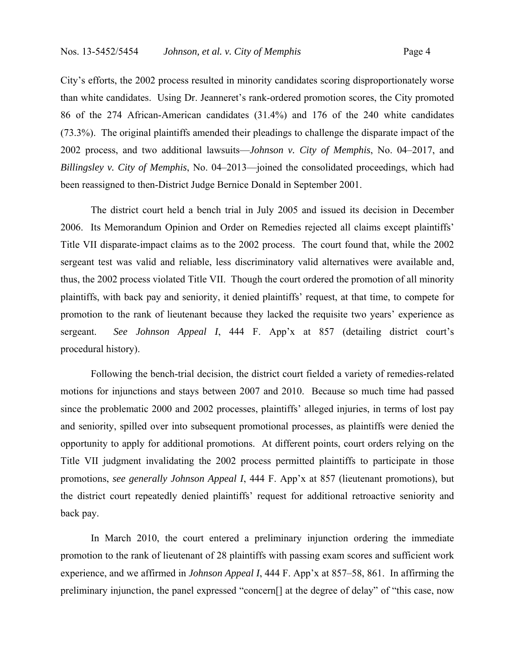City's efforts, the 2002 process resulted in minority candidates scoring disproportionately worse than white candidates. Using Dr. Jeanneret's rank-ordered promotion scores, the City promoted 86 of the 274 African-American candidates (31.4%) and 176 of the 240 white candidates (73.3%). The original plaintiffs amended their pleadings to challenge the disparate impact of the 2002 process, and two additional lawsuits—*Johnson v. City of Memphis*, No. 04–2017, and *Billingsley v. City of Memphis*, No. 04–2013—joined the consolidated proceedings, which had been reassigned to then-District Judge Bernice Donald in September 2001.

 The district court held a bench trial in July 2005 and issued its decision in December 2006. Its Memorandum Opinion and Order on Remedies rejected all claims except plaintiffs' Title VII disparate-impact claims as to the 2002 process. The court found that, while the 2002 sergeant test was valid and reliable, less discriminatory valid alternatives were available and, thus, the 2002 process violated Title VII. Though the court ordered the promotion of all minority plaintiffs, with back pay and seniority, it denied plaintiffs' request, at that time, to compete for promotion to the rank of lieutenant because they lacked the requisite two years' experience as sergeant. *See Johnson Appeal I*, 444 F. App'x at 857 (detailing district court's procedural history).

 Following the bench-trial decision, the district court fielded a variety of remedies-related motions for injunctions and stays between 2007 and 2010. Because so much time had passed since the problematic 2000 and 2002 processes, plaintiffs' alleged injuries, in terms of lost pay and seniority, spilled over into subsequent promotional processes, as plaintiffs were denied the opportunity to apply for additional promotions. At different points, court orders relying on the Title VII judgment invalidating the 2002 process permitted plaintiffs to participate in those promotions, *see generally Johnson Appeal I*, 444 F. App'x at 857 (lieutenant promotions), but the district court repeatedly denied plaintiffs' request for additional retroactive seniority and back pay.

 In March 2010, the court entered a preliminary injunction ordering the immediate promotion to the rank of lieutenant of 28 plaintiffs with passing exam scores and sufficient work experience, and we affirmed in *Johnson Appeal I*, 444 F. App'x at 857–58, 861. In affirming the preliminary injunction, the panel expressed "concern[] at the degree of delay" of "this case, now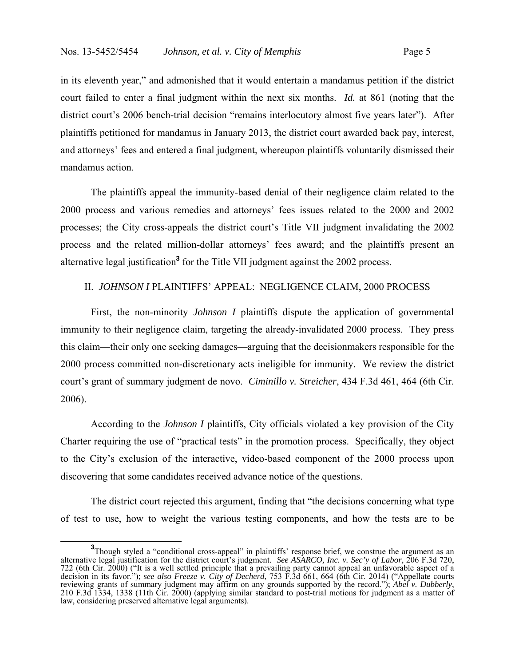in its eleventh year," and admonished that it would entertain a mandamus petition if the district court failed to enter a final judgment within the next six months. *Id.* at 861 (noting that the district court's 2006 bench-trial decision "remains interlocutory almost five years later"). After plaintiffs petitioned for mandamus in January 2013, the district court awarded back pay, interest, and attorneys' fees and entered a final judgment, whereupon plaintiffs voluntarily dismissed their mandamus action.

The plaintiffs appeal the immunity-based denial of their negligence claim related to the 2000 process and various remedies and attorneys' fees issues related to the 2000 and 2002 processes; the City cross-appeals the district court's Title VII judgment invalidating the 2002 process and the related million-dollar attorneys' fees award; and the plaintiffs present an alternative legal justification**<sup>3</sup>** for the Title VII judgment against the 2002 process.

# II. *JOHNSON I* PLAINTIFFS' APPEAL: NEGLIGENCE CLAIM, 2000 PROCESS

 First, the non-minority *Johnson I* plaintiffs dispute the application of governmental immunity to their negligence claim, targeting the already-invalidated 2000 process. They press this claim—their only one seeking damages—arguing that the decisionmakers responsible for the 2000 process committed non-discretionary acts ineligible for immunity. We review the district court's grant of summary judgment de novo. *Ciminillo v. Streicher*, 434 F.3d 461, 464 (6th Cir. 2006).

 According to the *Johnson I* plaintiffs, City officials violated a key provision of the City Charter requiring the use of "practical tests" in the promotion process. Specifically, they object to the City's exclusion of the interactive, video-based component of the 2000 process upon discovering that some candidates received advance notice of the questions.

 The district court rejected this argument, finding that "the decisions concerning what type of test to use, how to weight the various testing components, and how the tests are to be

<sup>&</sup>lt;sup>3</sup>Though styled a "conditional cross-appeal" in plaintiffs' response brief, we construe the argument as an alternative legal justification for the district court's judgment. *See ASARCO, Inc. v. Sec'y of Labor*, 206 F.3d 720, 722 (6th Cir. 2000) ("It is a well settled principle that a prevailing party cannot appeal an unfavorable aspect of a decision in its favor."); *see also Freeze v. City of Decherd*, 753 F.3d 661, 664 (6th Cir. 2014) ("Appellate courts reviewing grants of summary judgment may affirm on any grounds supported by the record."); *Abel v. Dubberly*,<br>210 F.3d 1334, 1338 (11th Cir. 2000) (applying similar standard to post-trial motions for judgment as a matter law, considering preserved alternative legal arguments).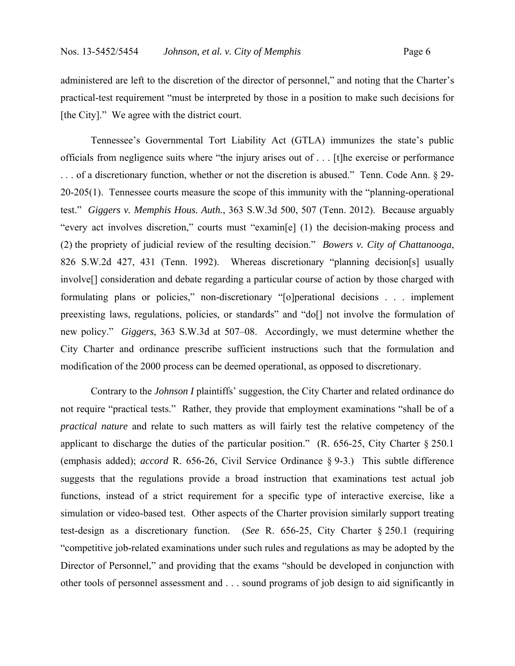administered are left to the discretion of the director of personnel," and noting that the Charter's practical-test requirement "must be interpreted by those in a position to make such decisions for [the City]." We agree with the district court.

 Tennessee's Governmental Tort Liability Act (GTLA) immunizes the state's public officials from negligence suits where "the injury arises out of . . . [t]he exercise or performance ... of a discretionary function, whether or not the discretion is abused." Tenn. Code Ann. § 29-20-205(1). Tennessee courts measure the scope of this immunity with the "planning-operational test." *Giggers v. Memphis Hous. Auth.*, 363 S.W.3d 500, 507 (Tenn. 2012). Because arguably "every act involves discretion," courts must "examin[e] (1) the decision-making process and (2) the propriety of judicial review of the resulting decision." *Bowers v. City of Chattanooga*, 826 S.W.2d 427, 431 (Tenn. 1992).Whereas discretionary "planning decision[s] usually involve[] consideration and debate regarding a particular course of action by those charged with formulating plans or policies," non-discretionary "[o]perational decisions . . . implement preexisting laws, regulations, policies, or standards" and "do[] not involve the formulation of new policy." *Giggers*, 363 S.W.3d at 507–08. Accordingly, we must determine whether the City Charter and ordinance prescribe sufficient instructions such that the formulation and modification of the 2000 process can be deemed operational, as opposed to discretionary.

 Contrary to the *Johnson I* plaintiffs' suggestion, the City Charter and related ordinance do not require "practical tests." Rather, they provide that employment examinations "shall be of a *practical nature* and relate to such matters as will fairly test the relative competency of the applicant to discharge the duties of the particular position." (R. 656-25, City Charter § 250.1 (emphasis added); *accord* R. 656-26, Civil Service Ordinance § 9-3.) This subtle difference suggests that the regulations provide a broad instruction that examinations test actual job functions, instead of a strict requirement for a specific type of interactive exercise, like a simulation or video-based test. Other aspects of the Charter provision similarly support treating test-design as a discretionary function. (*See* R. 656-25, City Charter § 250.1 (requiring "competitive job-related examinations under such rules and regulations as may be adopted by the Director of Personnel," and providing that the exams "should be developed in conjunction with other tools of personnel assessment and . . . sound programs of job design to aid significantly in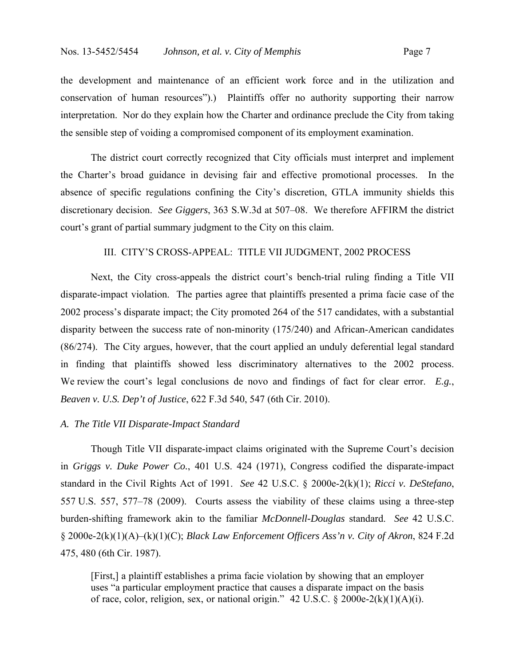the development and maintenance of an efficient work force and in the utilization and conservation of human resources").) Plaintiffs offer no authority supporting their narrow interpretation. Nor do they explain how the Charter and ordinance preclude the City from taking the sensible step of voiding a compromised component of its employment examination.

 The district court correctly recognized that City officials must interpret and implement the Charter's broad guidance in devising fair and effective promotional processes. In the absence of specific regulations confining the City's discretion, GTLA immunity shields this discretionary decision. *See Giggers*, 363 S.W.3d at 507–08. We therefore AFFIRM the district court's grant of partial summary judgment to the City on this claim.

# III. CITY'S CROSS-APPEAL: TITLE VII JUDGMENT, 2002 PROCESS

 Next, the City cross-appeals the district court's bench-trial ruling finding a Title VII disparate-impact violation. The parties agree that plaintiffs presented a prima facie case of the 2002 process's disparate impact; the City promoted 264 of the 517 candidates, with a substantial disparity between the success rate of non-minority (175/240) and African-American candidates (86/274). The City argues, however, that the court applied an unduly deferential legal standard in finding that plaintiffs showed less discriminatory alternatives to the 2002 process. We review the court's legal conclusions de novo and findings of fact for clear error. *E.g.*, *Beaven v. U.S. Dep't of Justice*, 622 F.3d 540, 547 (6th Cir. 2010).

### *A. The Title VII Disparate-Impact Standard*

 Though Title VII disparate-impact claims originated with the Supreme Court's decision in *Griggs v. Duke Power Co.*, 401 U.S. 424 (1971), Congress codified the disparate-impact standard in the Civil Rights Act of 1991. *See* 42 U.S.C. § 2000e-2(k)(1); *Ricci v. DeStefano*, 557 U.S. 557, 577–78 (2009). Courts assess the viability of these claims using a three-step burden-shifting framework akin to the familiar *McDonnell-Douglas* standard. *See* 42 U.S.C. § 2000e-2(k)(1)(A)–(k)(1)(C); *Black Law Enforcement Officers Ass'n v. City of Akron*, 824 F.2d 475, 480 (6th Cir. 1987).

[First,] a plaintiff establishes a prima facie violation by showing that an employer uses "a particular employment practice that causes a disparate impact on the basis of race, color, religion, sex, or national origin." 42 U.S.C. § 2000e-2(k)(1)(A)(i).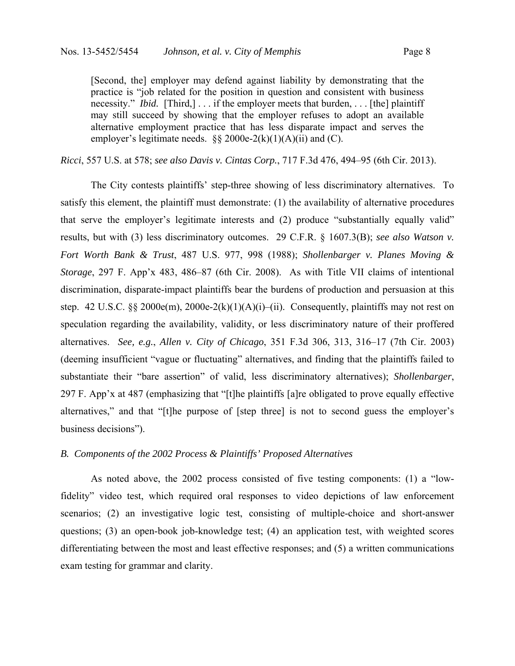[Second, the] employer may defend against liability by demonstrating that the practice is "job related for the position in question and consistent with business necessity." *Ibid.* [Third,] . . . if the employer meets that burden, . . . [the] plaintiff may still succeed by showing that the employer refuses to adopt an available alternative employment practice that has less disparate impact and serves the employer's legitimate needs.  $\S\S 2000e-2(k)(1)(A)(ii)$  and (C).

*Ricci*, 557 U.S. at 578; *see also Davis v. Cintas Corp.*, 717 F.3d 476, 494–95 (6th Cir. 2013).

 The City contests plaintiffs' step-three showing of less discriminatory alternatives. To satisfy this element, the plaintiff must demonstrate: (1) the availability of alternative procedures that serve the employer's legitimate interests and (2) produce "substantially equally valid" results, but with (3) less discriminatory outcomes. 29 C.F.R. § 1607.3(B); *see also Watson v. Fort Worth Bank & Trust*, 487 U.S. 977, 998 (1988); *Shollenbarger v. Planes Moving & Storage*, 297 F. App'x 483, 486–87 (6th Cir. 2008). As with Title VII claims of intentional discrimination, disparate-impact plaintiffs bear the burdens of production and persuasion at this step. 42 U.S.C. §§ 2000e(m), 2000e-2(k)(1)(A)(i)–(ii). Consequently, plaintiffs may not rest on speculation regarding the availability, validity, or less discriminatory nature of their proffered alternatives. *See, e.g.*, *Allen v. City of Chicago*, 351 F.3d 306, 313, 316–17 (7th Cir. 2003) (deeming insufficient "vague or fluctuating" alternatives, and finding that the plaintiffs failed to substantiate their "bare assertion" of valid, less discriminatory alternatives); *Shollenbarger*, 297 F. App'x at 487 (emphasizing that "[t]he plaintiffs [a]re obligated to prove equally effective alternatives," and that "[t]he purpose of [step three] is not to second guess the employer's business decisions").

### *B. Components of the 2002 Process & Plaintiffs' Proposed Alternatives*

 As noted above, the 2002 process consisted of five testing components: (1) a "lowfidelity" video test, which required oral responses to video depictions of law enforcement scenarios; (2) an investigative logic test, consisting of multiple-choice and short-answer questions; (3) an open-book job-knowledge test; (4) an application test, with weighted scores differentiating between the most and least effective responses; and (5) a written communications exam testing for grammar and clarity.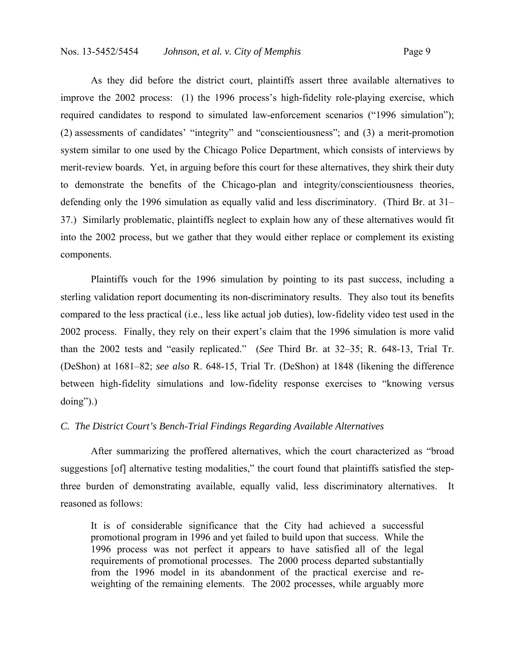As they did before the district court, plaintiffs assert three available alternatives to improve the 2002 process: (1) the 1996 process's high-fidelity role-playing exercise, which required candidates to respond to simulated law-enforcement scenarios ("1996 simulation"); (2) assessments of candidates' "integrity" and "conscientiousness"; and (3) a merit-promotion system similar to one used by the Chicago Police Department, which consists of interviews by merit-review boards. Yet, in arguing before this court for these alternatives, they shirk their duty to demonstrate the benefits of the Chicago-plan and integrity/conscientiousness theories, defending only the 1996 simulation as equally valid and less discriminatory. (Third Br. at 31– 37.) Similarly problematic, plaintiffs neglect to explain how any of these alternatives would fit into the 2002 process, but we gather that they would either replace or complement its existing components.

 Plaintiffs vouch for the 1996 simulation by pointing to its past success, including a sterling validation report documenting its non-discriminatory results. They also tout its benefits compared to the less practical (i.e., less like actual job duties), low-fidelity video test used in the 2002 process. Finally, they rely on their expert's claim that the 1996 simulation is more valid than the 2002 tests and "easily replicated." (*See* Third Br. at 32–35; R. 648-13, Trial Tr. (DeShon) at 1681–82; *see also* R. 648-15, Trial Tr. (DeShon) at 1848 (likening the difference between high-fidelity simulations and low-fidelity response exercises to "knowing versus doing").)

### *C. The District Court's Bench-Trial Findings Regarding Available Alternatives*

 After summarizing the proffered alternatives, which the court characterized as "broad suggestions [of] alternative testing modalities," the court found that plaintiffs satisfied the stepthree burden of demonstrating available, equally valid, less discriminatory alternatives. It reasoned as follows:

It is of considerable significance that the City had achieved a successful promotional program in 1996 and yet failed to build upon that success. While the 1996 process was not perfect it appears to have satisfied all of the legal requirements of promotional processes. The 2000 process departed substantially from the 1996 model in its abandonment of the practical exercise and reweighting of the remaining elements. The 2002 processes, while arguably more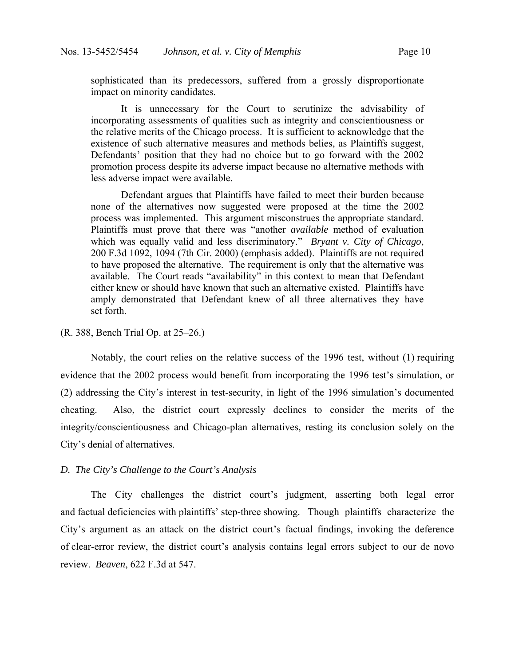sophisticated than its predecessors, suffered from a grossly disproportionate impact on minority candidates.

It is unnecessary for the Court to scrutinize the advisability of incorporating assessments of qualities such as integrity and conscientiousness or the relative merits of the Chicago process. It is sufficient to acknowledge that the existence of such alternative measures and methods belies, as Plaintiffs suggest, Defendants' position that they had no choice but to go forward with the 2002 promotion process despite its adverse impact because no alternative methods with less adverse impact were available.

 Defendant argues that Plaintiffs have failed to meet their burden because none of the alternatives now suggested were proposed at the time the 2002 process was implemented. This argument misconstrues the appropriate standard. Plaintiffs must prove that there was "another *available* method of evaluation which was equally valid and less discriminatory." *Bryant v. City of Chicago*, 200 F.3d 1092, 1094 (7th Cir. 2000) (emphasis added). Plaintiffs are not required to have proposed the alternative. The requirement is only that the alternative was available. The Court reads "availability" in this context to mean that Defendant either knew or should have known that such an alternative existed. Plaintiffs have amply demonstrated that Defendant knew of all three alternatives they have set forth.

# (R. 388, Bench Trial Op. at 25–26.)

 Notably, the court relies on the relative success of the 1996 test, without (1) requiring evidence that the 2002 process would benefit from incorporating the 1996 test's simulation, or (2) addressing the City's interest in test-security, in light of the 1996 simulation's documented cheating. Also, the district court expressly declines to consider the merits of the integrity/conscientiousness and Chicago-plan alternatives, resting its conclusion solely on the City's denial of alternatives.

### *D. The City's Challenge to the Court's Analysis*

 The City challenges the district court's judgment, asserting both legal error and factual deficiencies with plaintiffs' step-three showing. Though plaintiffs characterize the City's argument as an attack on the district court's factual findings, invoking the deference of clear-error review, the district court's analysis contains legal errors subject to our de novo review. *Beaven*, 622 F.3d at 547.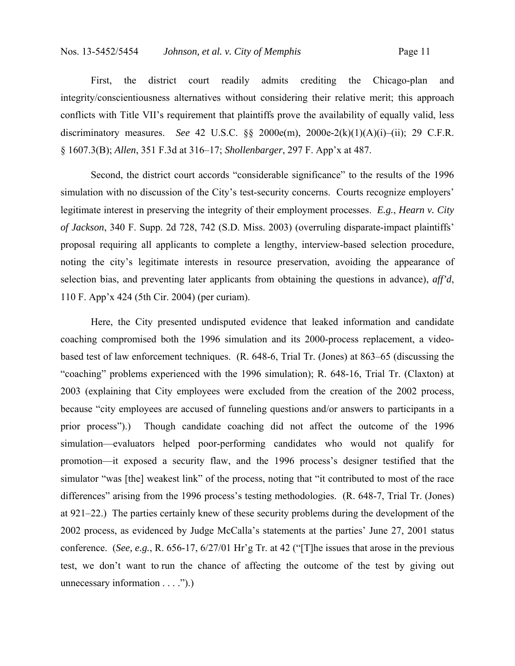First, the district court readily admits crediting the Chicago-plan and integrity/conscientiousness alternatives without considering their relative merit; this approach conflicts with Title VII's requirement that plaintiffs prove the availability of equally valid, less discriminatory measures. *See* 42 U.S.C. §§ 2000e(m), 2000e-2(k)(1)(A)(i)–(ii); 29 C.F.R. § 1607.3(B); *Allen*, 351 F.3d at 316–17; *Shollenbarger*, 297 F. App'x at 487.

 Second, the district court accords "considerable significance" to the results of the 1996 simulation with no discussion of the City's test-security concerns. Courts recognize employers' legitimate interest in preserving the integrity of their employment processes. *E.g.*, *Hearn v. City of Jackson*, 340 F. Supp. 2d 728, 742 (S.D. Miss. 2003) (overruling disparate-impact plaintiffs' proposal requiring all applicants to complete a lengthy, interview-based selection procedure, noting the city's legitimate interests in resource preservation, avoiding the appearance of selection bias, and preventing later applicants from obtaining the questions in advance), *aff'd*, 110 F. App'x 424 (5th Cir. 2004) (per curiam).

 Here, the City presented undisputed evidence that leaked information and candidate coaching compromised both the 1996 simulation and its 2000-process replacement, a videobased test of law enforcement techniques. (R. 648-6, Trial Tr. (Jones) at 863–65 (discussing the "coaching" problems experienced with the 1996 simulation); R. 648-16, Trial Tr. (Claxton) at 2003 (explaining that City employees were excluded from the creation of the 2002 process, because "city employees are accused of funneling questions and/or answers to participants in a prior process").) Though candidate coaching did not affect the outcome of the 1996 simulation—evaluators helped poor-performing candidates who would not qualify for promotion—it exposed a security flaw, and the 1996 process's designer testified that the simulator "was [the] weakest link" of the process, noting that "it contributed to most of the race differences" arising from the 1996 process's testing methodologies. (R. 648-7, Trial Tr. (Jones) at 921–22.) The parties certainly knew of these security problems during the development of the 2002 process, as evidenced by Judge McCalla's statements at the parties' June 27, 2001 status conference. (*See, e.g.*, R. 656-17, 6/27/01 Hr'g Tr. at 42 ("[T]he issues that arose in the previous test, we don't want to run the chance of affecting the outcome of the test by giving out unnecessary information . . . .").)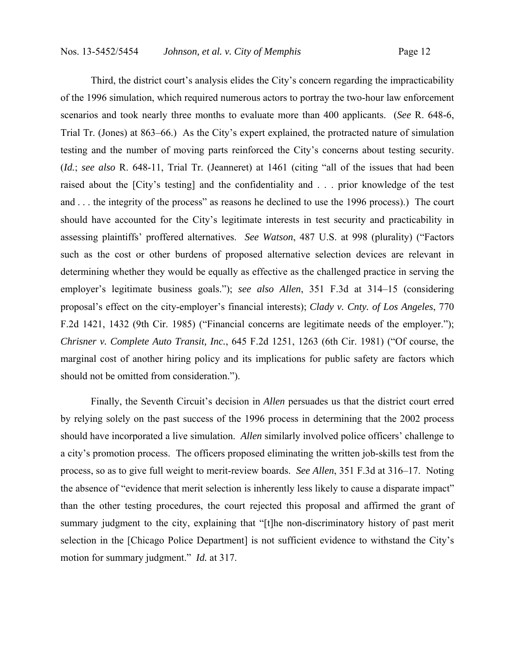Third, the district court's analysis elides the City's concern regarding the impracticability of the 1996 simulation, which required numerous actors to portray the two-hour law enforcement scenarios and took nearly three months to evaluate more than 400 applicants. (*See* R. 648-6, Trial Tr. (Jones) at 863–66.) As the City's expert explained, the protracted nature of simulation testing and the number of moving parts reinforced the City's concerns about testing security. (*Id.*; *see also* R. 648-11, Trial Tr. (Jeanneret) at 1461 (citing "all of the issues that had been raised about the [City's testing] and the confidentiality and . . . prior knowledge of the test and . . . the integrity of the process" as reasons he declined to use the 1996 process).) The court should have accounted for the City's legitimate interests in test security and practicability in assessing plaintiffs' proffered alternatives. *See Watson*, 487 U.S. at 998 (plurality) ("Factors such as the cost or other burdens of proposed alternative selection devices are relevant in determining whether they would be equally as effective as the challenged practice in serving the employer's legitimate business goals."); *see also Allen*, 351 F.3d at 314–15 (considering proposal's effect on the city-employer's financial interests); *Clady v. Cnty. of Los Angeles*, 770 F.2d 1421, 1432 (9th Cir. 1985) ("Financial concerns are legitimate needs of the employer."); *Chrisner v. Complete Auto Transit, Inc.*, 645 F.2d 1251, 1263 (6th Cir. 1981) ("Of course, the marginal cost of another hiring policy and its implications for public safety are factors which should not be omitted from consideration.").

 Finally, the Seventh Circuit's decision in *Allen* persuades us that the district court erred by relying solely on the past success of the 1996 process in determining that the 2002 process should have incorporated a live simulation. *Allen* similarly involved police officers' challenge to a city's promotion process. The officers proposed eliminating the written job-skills test from the process, so as to give full weight to merit-review boards. *See Allen*, 351 F.3d at 316–17. Noting the absence of "evidence that merit selection is inherently less likely to cause a disparate impact" than the other testing procedures, the court rejected this proposal and affirmed the grant of summary judgment to the city, explaining that "[t]he non-discriminatory history of past merit selection in the [Chicago Police Department] is not sufficient evidence to withstand the City's motion for summary judgment." *Id.* at 317.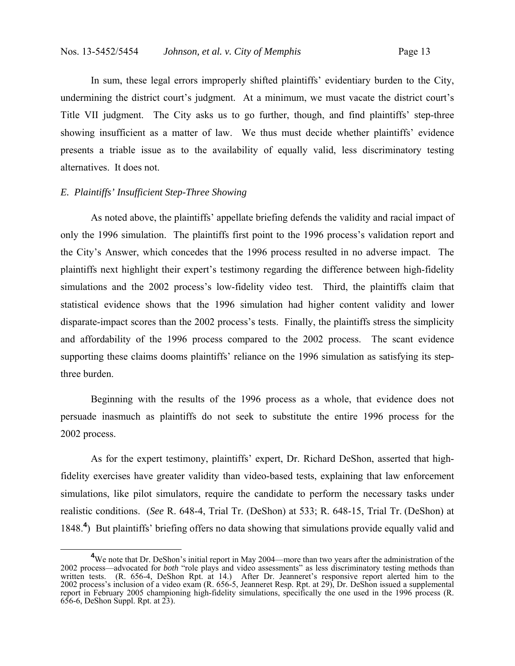In sum, these legal errors improperly shifted plaintiffs' evidentiary burden to the City, undermining the district court's judgment. At a minimum, we must vacate the district court's Title VII judgment. The City asks us to go further, though, and find plaintiffs' step-three showing insufficient as a matter of law. We thus must decide whether plaintiffs' evidence presents a triable issue as to the availability of equally valid, less discriminatory testing alternatives. It does not.

### *E. Plaintiffs' Insufficient Step-Three Showing*

 As noted above, the plaintiffs' appellate briefing defends the validity and racial impact of only the 1996 simulation. The plaintiffs first point to the 1996 process's validation report and the City's Answer, which concedes that the 1996 process resulted in no adverse impact. The plaintiffs next highlight their expert's testimony regarding the difference between high-fidelity simulations and the 2002 process's low-fidelity video test. Third, the plaintiffs claim that statistical evidence shows that the 1996 simulation had higher content validity and lower disparate-impact scores than the 2002 process's tests. Finally, the plaintiffs stress the simplicity and affordability of the 1996 process compared to the 2002 process. The scant evidence supporting these claims dooms plaintiffs' reliance on the 1996 simulation as satisfying its stepthree burden.

 Beginning with the results of the 1996 process as a whole, that evidence does not persuade inasmuch as plaintiffs do not seek to substitute the entire 1996 process for the 2002 process.

 As for the expert testimony, plaintiffs' expert, Dr. Richard DeShon, asserted that highfidelity exercises have greater validity than video-based tests, explaining that law enforcement simulations, like pilot simulators, require the candidate to perform the necessary tasks under realistic conditions. (*See* R. 648-4, Trial Tr. (DeShon) at 533; R. 648-15, Trial Tr. (DeShon) at 1848.**<sup>4</sup>** ) But plaintiffs' briefing offers no data showing that simulations provide equally valid and

<sup>&</sup>lt;sup>4</sup>We note that Dr. DeShon's initial report in May 2004—more than two years after the administration of the 2002 process—advocated for *both* "role plays and video assessments" as less discriminatory testing methods than written tests. (R. 656-4, DeShon Rpt. at 14.) After Dr. Jeanneret's responsive report alerted him to the 2002 process's inclusion of a video exam (R. 656-5, Jeanneret Resp. Rpt. at 29), Dr. DeShon issued a supplemental report in February 2005 championing high-fidelity simulations, specifically the one used in the 1996 process (R. 656-6, DeShon Suppl. Rpt. at 23).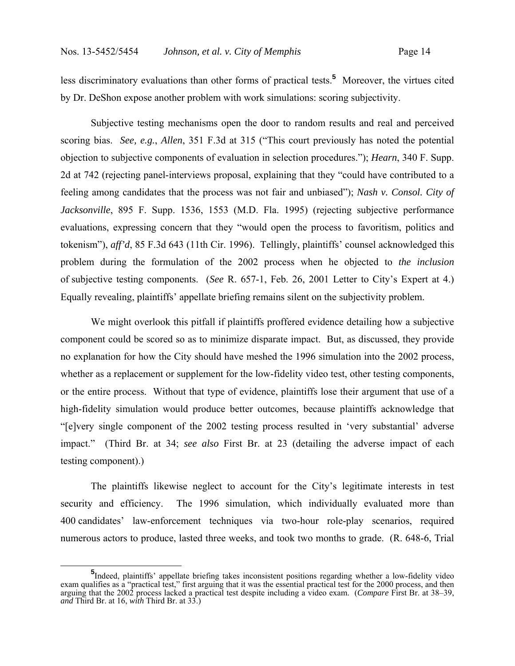less discriminatory evaluations than other forms of practical tests.**<sup>5</sup>** Moreover, the virtues cited by Dr. DeShon expose another problem with work simulations: scoring subjectivity.

 Subjective testing mechanisms open the door to random results and real and perceived scoring bias. *See, e.g.*, *Allen*, 351 F.3d at 315 ("This court previously has noted the potential objection to subjective components of evaluation in selection procedures."); *Hearn*, 340 F. Supp. 2d at 742 (rejecting panel-interviews proposal, explaining that they "could have contributed to a feeling among candidates that the process was not fair and unbiased"); *Nash v. Consol. City of Jacksonville*, 895 F. Supp. 1536, 1553 (M.D. Fla. 1995) (rejecting subjective performance evaluations, expressing concern that they "would open the process to favoritism, politics and tokenism"), *aff'd*, 85 F.3d 643 (11th Cir. 1996). Tellingly, plaintiffs' counsel acknowledged this problem during the formulation of the 2002 process when he objected to *the inclusion* of subjective testing components. (*See* R. 657-1, Feb. 26, 2001 Letter to City's Expert at 4.) Equally revealing, plaintiffs' appellate briefing remains silent on the subjectivity problem.

 We might overlook this pitfall if plaintiffs proffered evidence detailing how a subjective component could be scored so as to minimize disparate impact. But, as discussed, they provide no explanation for how the City should have meshed the 1996 simulation into the 2002 process, whether as a replacement or supplement for the low-fidelity video test, other testing components, or the entire process. Without that type of evidence, plaintiffs lose their argument that use of a high-fidelity simulation would produce better outcomes, because plaintiffs acknowledge that "[e]very single component of the 2002 testing process resulted in 'very substantial' adverse impact." (Third Br. at 34; *see also* First Br. at 23 (detailing the adverse impact of each testing component).)

 The plaintiffs likewise neglect to account for the City's legitimate interests in test security and efficiency. The 1996 simulation, which individually evaluated more than 400 candidates' law-enforcement techniques via two-hour role-play scenarios, required numerous actors to produce, lasted three weeks, and took two months to grade. (R. 648-6, Trial

**<sup>5</sup>** Indeed, plaintiffs' appellate briefing takes inconsistent positions regarding whether a low-fidelity video exam qualifies as a "practical test," first arguing that it was the essential practical test for the 2000 process, and then arguing that the 2002 process lacked a practical test despite including a video exam. (*Compare* First Br. at 38–39, *and* Third Br. at 16, *with* Third Br. at 33.)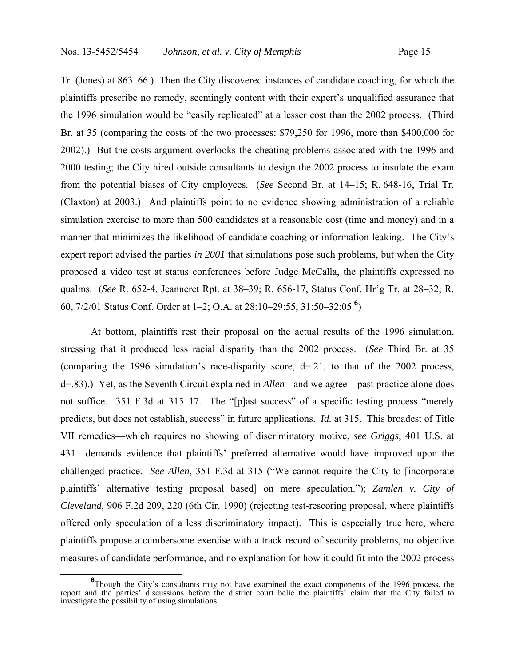Tr. (Jones) at 863–66.) Then the City discovered instances of candidate coaching, for which the plaintiffs prescribe no remedy, seemingly content with their expert's unqualified assurance that the 1996 simulation would be "easily replicated" at a lesser cost than the 2002 process. (Third Br. at 35 (comparing the costs of the two processes: \$79,250 for 1996, more than \$400,000 for 2002).) But the costs argument overlooks the cheating problems associated with the 1996 and 2000 testing; the City hired outside consultants to design the 2002 process to insulate the exam from the potential biases of City employees. (*See* Second Br. at 14–15; R. 648-16, Trial Tr. (Claxton) at 2003.) And plaintiffs point to no evidence showing administration of a reliable simulation exercise to more than 500 candidates at a reasonable cost (time and money) and in a manner that minimizes the likelihood of candidate coaching or information leaking. The City's expert report advised the parties *in 2001* that simulations pose such problems, but when the City proposed a video test at status conferences before Judge McCalla, the plaintiffs expressed no qualms. (*See* R. 652-4, Jeanneret Rpt. at 38–39; R. 656-17, Status Conf. Hr'g Tr. at 28–32; R. 60, 7/2/01 Status Conf. Order at 1–2; O.A. at 28:10–29:55, 31:50–32:05.**<sup>6</sup>** )

 At bottom, plaintiffs rest their proposal on the actual results of the 1996 simulation, stressing that it produced less racial disparity than the 2002 process. (*See* Third Br. at 35 (comparing the 1996 simulation's race-disparity score,  $d=21$ , to that of the 2002 process, d=.83).) Yet, as the Seventh Circuit explained in *Allen—*and we agree—past practice alone does not suffice. 351 F.3d at 315–17. The "[p]ast success" of a specific testing process "merely predicts, but does not establish, success" in future applications. *Id.* at 315. This broadest of Title VII remedies—which requires no showing of discriminatory motive, *see Griggs*, 401 U.S. at 431—demands evidence that plaintiffs' preferred alternative would have improved upon the challenged practice. *See Allen*, 351 F.3d at 315 ("We cannot require the City to [incorporate plaintiffs' alternative testing proposal based] on mere speculation."); *Zamlen v. City of Cleveland*, 906 F.2d 209, 220 (6th Cir. 1990) (rejecting test-rescoring proposal, where plaintiffs offered only speculation of a less discriminatory impact). This is especially true here, where plaintiffs propose a cumbersome exercise with a track record of security problems, no objective measures of candidate performance, and no explanation for how it could fit into the 2002 process

**<sup>6</sup>** <sup>6</sup>Though the City's consultants may not have examined the exact components of the 1996 process, the report and the parties' discussions before the district court belie the plaintiffs' claim that the City failed to investigate the possibility of using simulations.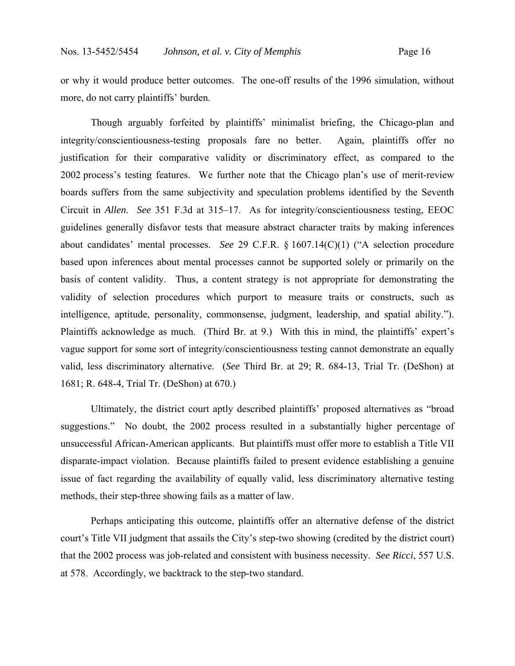or why it would produce better outcomes. The one-off results of the 1996 simulation, without more, do not carry plaintiffs' burden.

 Though arguably forfeited by plaintiffs' minimalist briefing, the Chicago-plan and integrity/conscientiousness-testing proposals fare no better. Again, plaintiffs offer no justification for their comparative validity or discriminatory effect, as compared to the 2002 process's testing features. We further note that the Chicago plan's use of merit-review boards suffers from the same subjectivity and speculation problems identified by the Seventh Circuit in *Allen*. *See* 351 F.3d at 315–17. As for integrity/conscientiousness testing, EEOC guidelines generally disfavor tests that measure abstract character traits by making inferences about candidates' mental processes. *See* 29 C.F.R. § 1607.14(C)(1) ("A selection procedure based upon inferences about mental processes cannot be supported solely or primarily on the basis of content validity. Thus, a content strategy is not appropriate for demonstrating the validity of selection procedures which purport to measure traits or constructs, such as intelligence, aptitude, personality, commonsense, judgment, leadership, and spatial ability."). Plaintiffs acknowledge as much. (Third Br. at 9.) With this in mind, the plaintiffs' expert's vague support for some sort of integrity/conscientiousness testing cannot demonstrate an equally valid, less discriminatory alternative. (*See* Third Br. at 29; R. 684-13, Trial Tr. (DeShon) at 1681; R. 648-4, Trial Tr. (DeShon) at 670.)

 Ultimately, the district court aptly described plaintiffs' proposed alternatives as "broad suggestions." No doubt, the 2002 process resulted in a substantially higher percentage of unsuccessful African-American applicants. But plaintiffs must offer more to establish a Title VII disparate-impact violation. Because plaintiffs failed to present evidence establishing a genuine issue of fact regarding the availability of equally valid, less discriminatory alternative testing methods, their step-three showing fails as a matter of law.

 Perhaps anticipating this outcome, plaintiffs offer an alternative defense of the district court's Title VII judgment that assails the City's step-two showing (credited by the district court) that the 2002 process was job-related and consistent with business necessity. *See Ricci*, 557 U.S. at 578. Accordingly, we backtrack to the step-two standard.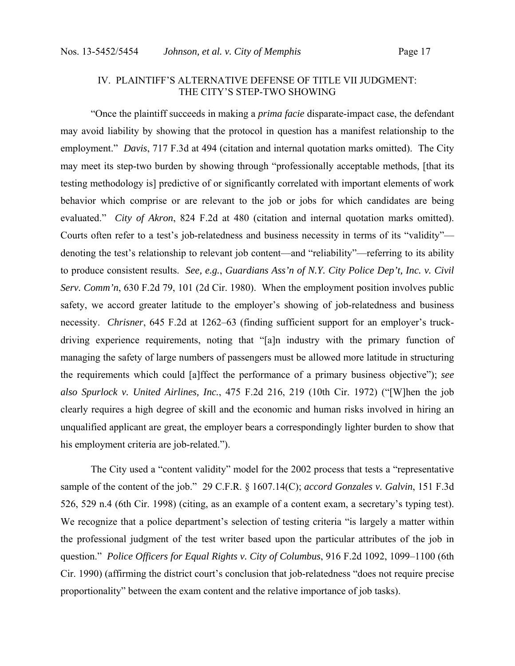# IV. PLAINTIFF'S ALTERNATIVE DEFENSE OF TITLE VII JUDGMENT: THE CITY'S STEP-TWO SHOWING

 "Once the plaintiff succeeds in making a *prima facie* disparate-impact case, the defendant may avoid liability by showing that the protocol in question has a manifest relationship to the employment." *Davis*, 717 F.3d at 494 (citation and internal quotation marks omitted). The City may meet its step-two burden by showing through "professionally acceptable methods, [that its testing methodology is] predictive of or significantly correlated with important elements of work behavior which comprise or are relevant to the job or jobs for which candidates are being evaluated." *City of Akron*, 824 F.2d at 480 (citation and internal quotation marks omitted). Courts often refer to a test's job-relatedness and business necessity in terms of its "validity" denoting the test's relationship to relevant job content—and "reliability"—referring to its ability to produce consistent results. *See, e.g.*, *Guardians Ass'n of N.Y. City Police Dep't, Inc. v. Civil Serv. Comm'n*, 630 F.2d 79, 101 (2d Cir. 1980). When the employment position involves public safety, we accord greater latitude to the employer's showing of job-relatedness and business necessity. *Chrisner*, 645 F.2d at 1262–63 (finding sufficient support for an employer's truckdriving experience requirements, noting that "[a]n industry with the primary function of managing the safety of large numbers of passengers must be allowed more latitude in structuring the requirements which could [a]ffect the performance of a primary business objective"); *see also Spurlock v. United Airlines, Inc.*, 475 F.2d 216, 219 (10th Cir. 1972) ("[W]hen the job clearly requires a high degree of skill and the economic and human risks involved in hiring an unqualified applicant are great, the employer bears a correspondingly lighter burden to show that his employment criteria are job-related.").

 The City used a "content validity" model for the 2002 process that tests a "representative sample of the content of the job." 29 C.F.R. § 1607.14(C); *accord Gonzales v. Galvin*, 151 F.3d 526, 529 n.4 (6th Cir. 1998) (citing, as an example of a content exam, a secretary's typing test). We recognize that a police department's selection of testing criteria "is largely a matter within the professional judgment of the test writer based upon the particular attributes of the job in question." *Police Officers for Equal Rights v. City of Columbus*, 916 F.2d 1092, 1099–1100 (6th Cir. 1990) (affirming the district court's conclusion that job-relatedness "does not require precise proportionality" between the exam content and the relative importance of job tasks).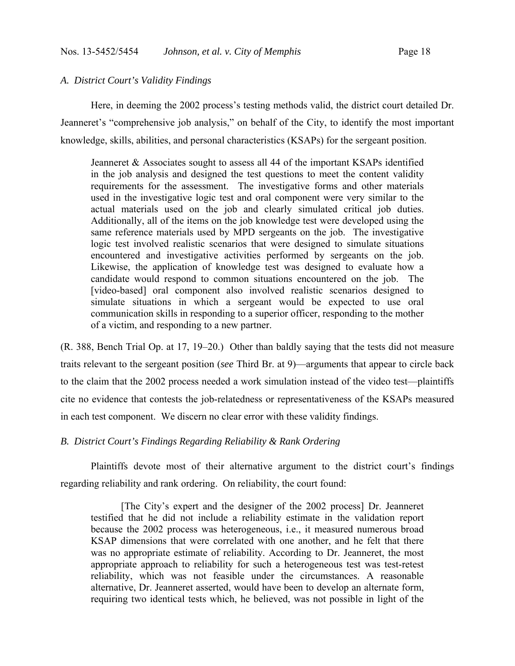### *A. District Court's Validity Findings*

 Here, in deeming the 2002 process's testing methods valid, the district court detailed Dr. Jeanneret's "comprehensive job analysis," on behalf of the City, to identify the most important knowledge, skills, abilities, and personal characteristics (KSAPs) for the sergeant position.

Jeanneret & Associates sought to assess all 44 of the important KSAPs identified in the job analysis and designed the test questions to meet the content validity requirements for the assessment. The investigative forms and other materials used in the investigative logic test and oral component were very similar to the actual materials used on the job and clearly simulated critical job duties. Additionally, all of the items on the job knowledge test were developed using the same reference materials used by MPD sergeants on the job. The investigative logic test involved realistic scenarios that were designed to simulate situations encountered and investigative activities performed by sergeants on the job. Likewise, the application of knowledge test was designed to evaluate how a candidate would respond to common situations encountered on the job. The [video-based] oral component also involved realistic scenarios designed to simulate situations in which a sergeant would be expected to use oral communication skills in responding to a superior officer, responding to the mother of a victim, and responding to a new partner.

(R. 388, Bench Trial Op. at 17, 19–20.) Other than baldly saying that the tests did not measure traits relevant to the sergeant position (*see* Third Br. at 9)—arguments that appear to circle back to the claim that the 2002 process needed a work simulation instead of the video test—plaintiffs cite no evidence that contests the job-relatedness or representativeness of the KSAPs measured in each test component. We discern no clear error with these validity findings.

# *B. District Court's Findings Regarding Reliability & Rank Ordering*

 Plaintiffs devote most of their alternative argument to the district court's findings regarding reliability and rank ordering. On reliability, the court found:

 [The City's expert and the designer of the 2002 process] Dr. Jeanneret testified that he did not include a reliability estimate in the validation report because the 2002 process was heterogeneous, i.e., it measured numerous broad KSAP dimensions that were correlated with one another, and he felt that there was no appropriate estimate of reliability. According to Dr. Jeanneret, the most appropriate approach to reliability for such a heterogeneous test was test-retest reliability, which was not feasible under the circumstances. A reasonable alternative, Dr. Jeanneret asserted, would have been to develop an alternate form, requiring two identical tests which, he believed, was not possible in light of the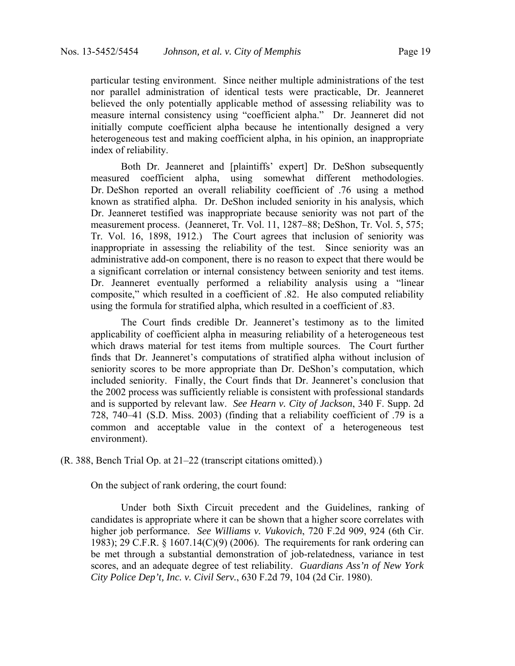particular testing environment. Since neither multiple administrations of the test nor parallel administration of identical tests were practicable, Dr. Jeanneret believed the only potentially applicable method of assessing reliability was to measure internal consistency using "coefficient alpha." Dr. Jeanneret did not initially compute coefficient alpha because he intentionally designed a very heterogeneous test and making coefficient alpha, in his opinion, an inappropriate index of reliability.

 Both Dr. Jeanneret and [plaintiffs' expert] Dr. DeShon subsequently measured coefficient alpha, using somewhat different methodologies. Dr. DeShon reported an overall reliability coefficient of .76 using a method known as stratified alpha. Dr. DeShon included seniority in his analysis, which Dr. Jeanneret testified was inappropriate because seniority was not part of the measurement process. (Jeanneret, Tr. Vol. 11, 1287–88; DeShon, Tr. Vol. 5, 575; Tr. Vol. 16, 1898, 1912.) The Court agrees that inclusion of seniority was inappropriate in assessing the reliability of the test. Since seniority was an administrative add-on component, there is no reason to expect that there would be a significant correlation or internal consistency between seniority and test items. Dr. Jeanneret eventually performed a reliability analysis using a "linear composite," which resulted in a coefficient of .82. He also computed reliability using the formula for stratified alpha, which resulted in a coefficient of .83.

 The Court finds credible Dr. Jeanneret's testimony as to the limited applicability of coefficient alpha in measuring reliability of a heterogeneous test which draws material for test items from multiple sources. The Court further finds that Dr. Jeanneret's computations of stratified alpha without inclusion of seniority scores to be more appropriate than Dr. DeShon's computation, which included seniority. Finally, the Court finds that Dr. Jeanneret's conclusion that the 2002 process was sufficiently reliable is consistent with professional standards and is supported by relevant law. *See Hearn v. City of Jackson*, 340 F. Supp. 2d 728, 740–41 (S.D. Miss. 2003) (finding that a reliability coefficient of .79 is a common and acceptable value in the context of a heterogeneous test environment).

(R. 388, Bench Trial Op. at 21–22 (transcript citations omitted).)

On the subject of rank ordering, the court found:

 Under both Sixth Circuit precedent and the Guidelines, ranking of candidates is appropriate where it can be shown that a higher score correlates with higher job performance. *See Williams v. Vukovich*, 720 F.2d 909, 924 (6th Cir. 1983); 29 C.F.R. § 1607.14(C)(9) (2006). The requirements for rank ordering can be met through a substantial demonstration of job-relatedness, variance in test scores, and an adequate degree of test reliability. *Guardians Ass'n of New York City Police Dep't, Inc. v. Civil Serv.*, 630 F.2d 79, 104 (2d Cir. 1980).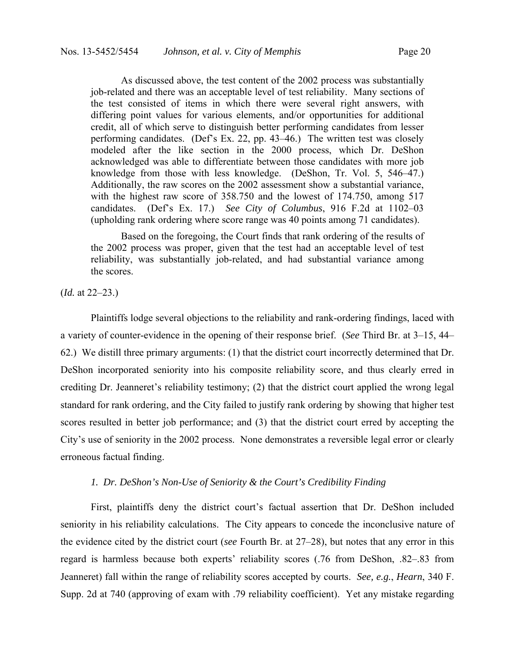As discussed above, the test content of the 2002 process was substantially job-related and there was an acceptable level of test reliability. Many sections of the test consisted of items in which there were several right answers, with differing point values for various elements, and/or opportunities for additional credit, all of which serve to distinguish better performing candidates from lesser performing candidates. (Def's Ex. 22, pp. 43–46.) The written test was closely modeled after the like section in the 2000 process, which Dr. DeShon acknowledged was able to differentiate between those candidates with more job knowledge from those with less knowledge. (DeShon, Tr. Vol. 5, 546–47.) Additionally, the raw scores on the 2002 assessment show a substantial variance, with the highest raw score of 358.750 and the lowest of 174.750, among 517 candidates. (Def's Ex. 17.) *See City of Columbus*, 916 F.2d at 1102–03 (upholding rank ordering where score range was 40 points among 71 candidates).

 Based on the foregoing, the Court finds that rank ordering of the results of the 2002 process was proper, given that the test had an acceptable level of test reliability, was substantially job-related, and had substantial variance among the scores.

(*Id.* at 22–23.)

 Plaintiffs lodge several objections to the reliability and rank-ordering findings, laced with a variety of counter-evidence in the opening of their response brief. (*See* Third Br. at 3–15, 44– 62.) We distill three primary arguments: (1) that the district court incorrectly determined that Dr. DeShon incorporated seniority into his composite reliability score, and thus clearly erred in crediting Dr. Jeanneret's reliability testimony; (2) that the district court applied the wrong legal standard for rank ordering, and the City failed to justify rank ordering by showing that higher test scores resulted in better job performance; and (3) that the district court erred by accepting the City's use of seniority in the 2002 process. None demonstrates a reversible legal error or clearly erroneous factual finding.

### *1. Dr. DeShon's Non-Use of Seniority & the Court's Credibility Finding*

 First, plaintiffs deny the district court's factual assertion that Dr. DeShon included seniority in his reliability calculations. The City appears to concede the inconclusive nature of the evidence cited by the district court (*see* Fourth Br. at 27–28), but notes that any error in this regard is harmless because both experts' reliability scores (.76 from DeShon, .82–.83 from Jeanneret) fall within the range of reliability scores accepted by courts. *See, e.g.*, *Hearn*, 340 F. Supp. 2d at 740 (approving of exam with .79 reliability coefficient). Yet any mistake regarding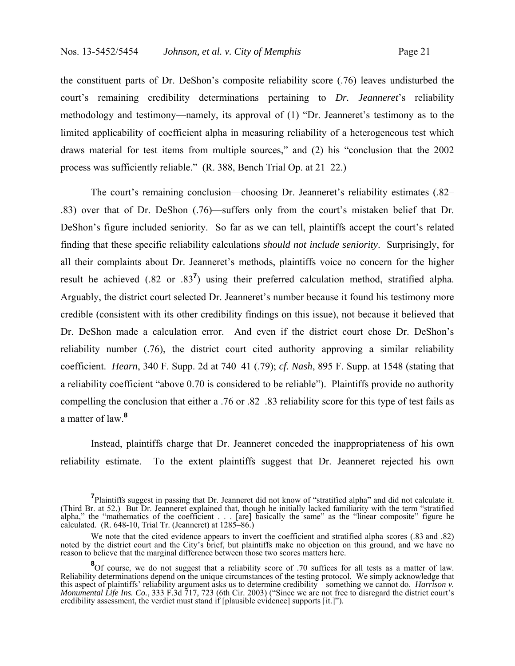the constituent parts of Dr. DeShon's composite reliability score (.76) leaves undisturbed the court's remaining credibility determinations pertaining to *Dr. Jeanneret*'s reliability methodology and testimony—namely, its approval of (1) "Dr. Jeanneret's testimony as to the limited applicability of coefficient alpha in measuring reliability of a heterogeneous test which draws material for test items from multiple sources," and (2) his "conclusion that the 2002 process was sufficiently reliable." (R. 388, Bench Trial Op. at 21–22.)

 The court's remaining conclusion—choosing Dr. Jeanneret's reliability estimates (.82– .83) over that of Dr. DeShon (.76)—suffers only from the court's mistaken belief that Dr. DeShon's figure included seniority. So far as we can tell, plaintiffs accept the court's related finding that these specific reliability calculations *should not include seniority*. Surprisingly, for all their complaints about Dr. Jeanneret's methods, plaintiffs voice no concern for the higher result he achieved (.82 or .83**<sup>7</sup>** ) using their preferred calculation method, stratified alpha. Arguably, the district court selected Dr. Jeanneret's number because it found his testimony more credible (consistent with its other credibility findings on this issue), not because it believed that Dr. DeShon made a calculation error. And even if the district court chose Dr. DeShon's reliability number (.76), the district court cited authority approving a similar reliability coefficient. *Hearn*, 340 F. Supp. 2d at 740–41 (.79); *cf. Nash*, 895 F. Supp. at 1548 (stating that a reliability coefficient "above 0.70 is considered to be reliable"). Plaintiffs provide no authority compelling the conclusion that either a .76 or .82–.83 reliability score for this type of test fails as a matter of law.**<sup>8</sup>**

 Instead, plaintiffs charge that Dr. Jeanneret conceded the inappropriateness of his own reliability estimate. To the extent plaintiffs suggest that Dr. Jeanneret rejected his own

**<sup>7</sup>** Plaintiffs suggest in passing that Dr. Jeanneret did not know of "stratified alpha" and did not calculate it. (Third Br. at 52.) But Dr. Jeanneret explained that, though he initially lacked familiarity with the term "stratified alpha," the "mathematics of the coefficient . . . [are] basically the same" as the "linear composite" figure he calculated. (R. 648-10, Trial Tr. (Jeanneret) at 1285–86.)

We note that the cited evidence appears to invert the coefficient and stratified alpha scores (.83 and .82) noted by the district court and the City's brief, but plaintiffs make no objection on this ground, and we have no reason to believe that the marginal difference between those two scores matters here.

<sup>&</sup>lt;sup>8</sup>Of course, we do not suggest that a reliability score of .70 suffices for all tests as a matter of law. Reliability determinations depend on the unique circumstances of the testing protocol. We simply acknowledge that this aspect of plaintiffs' reliability argument asks us to determine credibility—something we cannot do. *Harrison v. Monumental Life Ins. Co.*, 333 F.3d 717, 723 (6th Cir. 2003) ("Since we are not free to disregard the district court's credibility assessment, the verdict must stand if [plausible evidence] supports [it.]").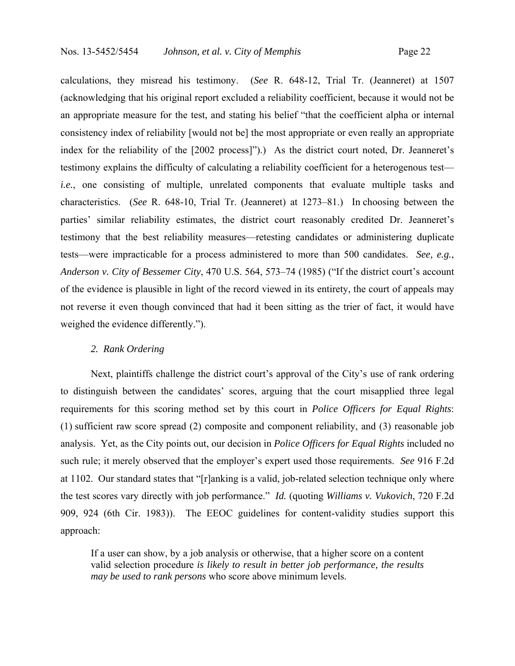calculations, they misread his testimony. (*See* R. 648-12, Trial Tr. (Jeanneret) at 1507 (acknowledging that his original report excluded a reliability coefficient, because it would not be an appropriate measure for the test, and stating his belief "that the coefficient alpha or internal consistency index of reliability [would not be] the most appropriate or even really an appropriate index for the reliability of the [2002 process]").) As the district court noted, Dr. Jeanneret's testimony explains the difficulty of calculating a reliability coefficient for a heterogenous test *i.e.*, one consisting of multiple, unrelated components that evaluate multiple tasks and characteristics. (*See* R. 648-10, Trial Tr. (Jeanneret) at 1273–81.) In choosing between the parties' similar reliability estimates, the district court reasonably credited Dr. Jeanneret's testimony that the best reliability measures—retesting candidates or administering duplicate tests—were impracticable for a process administered to more than 500 candidates. *See, e.g.*, *Anderson v. City of Bessemer City*, 470 U.S. 564, 573–74 (1985) ("If the district court's account of the evidence is plausible in light of the record viewed in its entirety, the court of appeals may not reverse it even though convinced that had it been sitting as the trier of fact, it would have weighed the evidence differently.").

### *2. Rank Ordering*

 Next, plaintiffs challenge the district court's approval of the City's use of rank ordering to distinguish between the candidates' scores, arguing that the court misapplied three legal requirements for this scoring method set by this court in *Police Officers for Equal Rights*: (1) sufficient raw score spread (2) composite and component reliability, and (3) reasonable job analysis. Yet, as the City points out, our decision in *Police Officers for Equal Rights* included no such rule; it merely observed that the employer's expert used those requirements. *See* 916 F.2d at 1102. Our standard states that "[r]anking is a valid, job-related selection technique only where the test scores vary directly with job performance." *Id.* (quoting *Williams v. Vukovich*, 720 F.2d 909, 924 (6th Cir. 1983)). The EEOC guidelines for content-validity studies support this approach:

If a user can show, by a job analysis or otherwise, that a higher score on a content valid selection procedure *is likely to result in better job performance, the results may be used to rank persons* who score above minimum levels.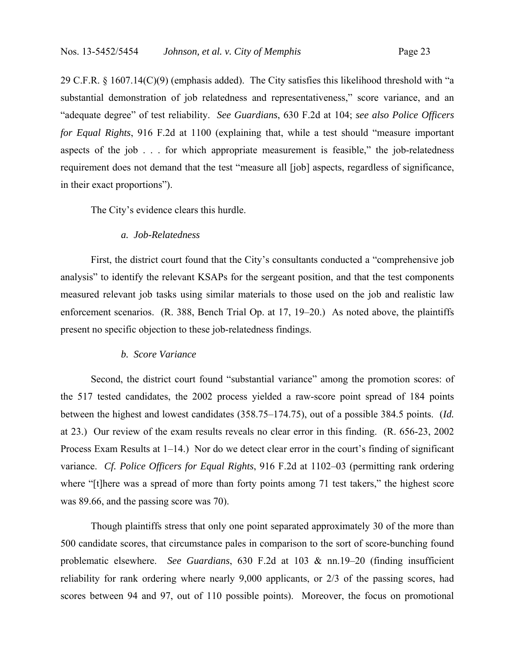29 C.F.R. § 1607.14(C)(9) (emphasis added). The City satisfies this likelihood threshold with "a substantial demonstration of job relatedness and representativeness," score variance, and an "adequate degree" of test reliability. *See Guardians*, 630 F.2d at 104; *see also Police Officers for Equal Rights*, 916 F.2d at 1100 (explaining that, while a test should "measure important aspects of the job . . . for which appropriate measurement is feasible," the job-relatedness requirement does not demand that the test "measure all [job] aspects, regardless of significance, in their exact proportions").

The City's evidence clears this hurdle.

### *a. Job-Relatedness*

First, the district court found that the City's consultants conducted a "comprehensive job analysis" to identify the relevant KSAPs for the sergeant position, and that the test components measured relevant job tasks using similar materials to those used on the job and realistic law enforcement scenarios. (R. 388, Bench Trial Op. at 17, 19–20.) As noted above, the plaintiffs present no specific objection to these job-relatedness findings.

#### *b. Score Variance*

Second, the district court found "substantial variance" among the promotion scores: of the 517 tested candidates, the 2002 process yielded a raw-score point spread of 184 points between the highest and lowest candidates (358.75–174.75), out of a possible 384.5 points. (*Id.* at 23.) Our review of the exam results reveals no clear error in this finding. (R. 656-23, 2002 Process Exam Results at 1–14.) Nor do we detect clear error in the court's finding of significant variance. *Cf. Police Officers for Equal Rights*, 916 F.2d at 1102–03 (permitting rank ordering where "[t]here was a spread of more than forty points among 71 test takers," the highest score was 89.66, and the passing score was 70).

 Though plaintiffs stress that only one point separated approximately 30 of the more than 500 candidate scores, that circumstance pales in comparison to the sort of score-bunching found problematic elsewhere. *See Guardians*, 630 F.2d at 103 & nn.19–20 (finding insufficient reliability for rank ordering where nearly 9,000 applicants, or 2/3 of the passing scores, had scores between 94 and 97, out of 110 possible points). Moreover, the focus on promotional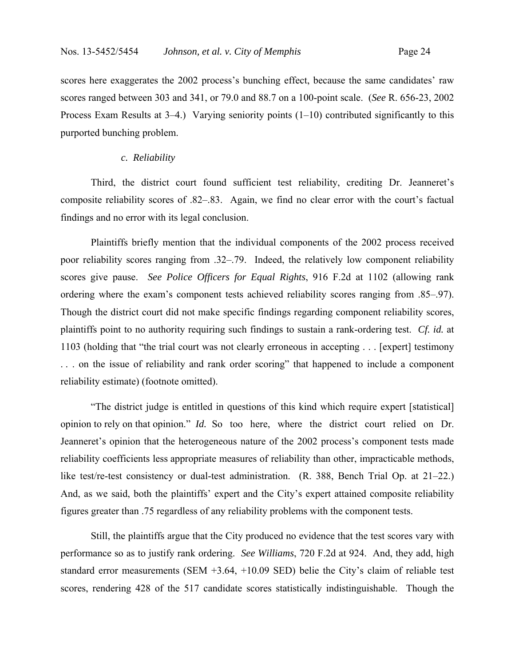scores here exaggerates the 2002 process's bunching effect, because the same candidates' raw scores ranged between 303 and 341, or 79.0 and 88.7 on a 100-point scale. (*See* R. 656-23, 2002 Process Exam Results at 3–4.) Varying seniority points (1–10) contributed significantly to this purported bunching problem.

### *c. Reliability*

 Third, the district court found sufficient test reliability, crediting Dr. Jeanneret's composite reliability scores of .82–.83. Again, we find no clear error with the court's factual findings and no error with its legal conclusion.

 Plaintiffs briefly mention that the individual components of the 2002 process received poor reliability scores ranging from .32–.79. Indeed, the relatively low component reliability scores give pause. *See Police Officers for Equal Rights*, 916 F.2d at 1102 (allowing rank ordering where the exam's component tests achieved reliability scores ranging from .85–.97). Though the district court did not make specific findings regarding component reliability scores, plaintiffs point to no authority requiring such findings to sustain a rank-ordering test. *Cf. id.* at 1103 (holding that "the trial court was not clearly erroneous in accepting . . . [expert] testimony . . . on the issue of reliability and rank order scoring" that happened to include a component reliability estimate) (footnote omitted).

 "The district judge is entitled in questions of this kind which require expert [statistical] opinion to rely on that opinion." *Id.* So too here, where the district court relied on Dr. Jeanneret's opinion that the heterogeneous nature of the 2002 process's component tests made reliability coefficients less appropriate measures of reliability than other, impracticable methods, like test/re-test consistency or dual-test administration. (R. 388, Bench Trial Op. at 21–22.) And, as we said, both the plaintiffs' expert and the City's expert attained composite reliability figures greater than .75 regardless of any reliability problems with the component tests.

 Still, the plaintiffs argue that the City produced no evidence that the test scores vary with performance so as to justify rank ordering. *See Williams*, 720 F.2d at 924. And, they add, high standard error measurements (SEM +3.64, +10.09 SED) belie the City's claim of reliable test scores, rendering 428 of the 517 candidate scores statistically indistinguishable. Though the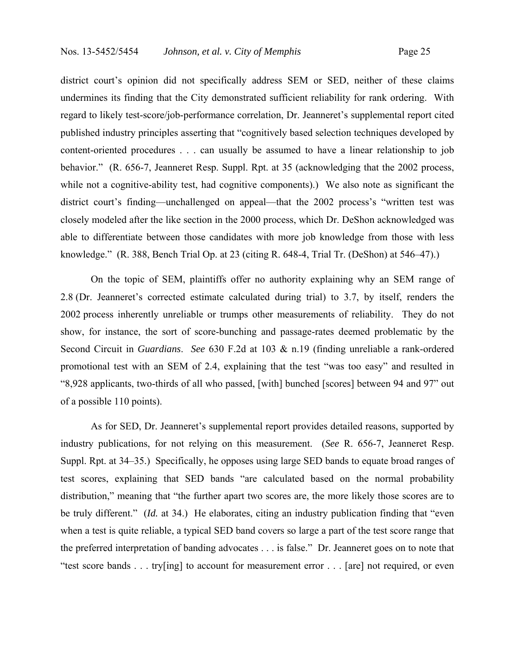district court's opinion did not specifically address SEM or SED, neither of these claims undermines its finding that the City demonstrated sufficient reliability for rank ordering. With regard to likely test-score/job-performance correlation, Dr. Jeanneret's supplemental report cited published industry principles asserting that "cognitively based selection techniques developed by content-oriented procedures . . . can usually be assumed to have a linear relationship to job behavior." (R. 656-7, Jeanneret Resp. Suppl. Rpt. at 35 (acknowledging that the 2002 process, while not a cognitive-ability test, had cognitive components).) We also note as significant the district court's finding—unchallenged on appeal—that the 2002 process's "written test was closely modeled after the like section in the 2000 process, which Dr. DeShon acknowledged was able to differentiate between those candidates with more job knowledge from those with less knowledge." (R. 388, Bench Trial Op. at 23 (citing R. 648-4, Trial Tr. (DeShon) at 546–47).)

 On the topic of SEM, plaintiffs offer no authority explaining why an SEM range of 2.8 (Dr. Jeanneret's corrected estimate calculated during trial) to 3.7, by itself, renders the 2002 process inherently unreliable or trumps other measurements of reliability. They do not show, for instance, the sort of score-bunching and passage-rates deemed problematic by the Second Circuit in *Guardians*. *See* 630 F.2d at 103 & n.19 (finding unreliable a rank-ordered promotional test with an SEM of 2.4, explaining that the test "was too easy" and resulted in "8,928 applicants, two-thirds of all who passed, [with] bunched [scores] between 94 and 97" out of a possible 110 points).

 As for SED, Dr. Jeanneret's supplemental report provides detailed reasons, supported by industry publications, for not relying on this measurement. (*See* R. 656-7, Jeanneret Resp. Suppl. Rpt. at 34–35.) Specifically, he opposes using large SED bands to equate broad ranges of test scores, explaining that SED bands "are calculated based on the normal probability distribution," meaning that "the further apart two scores are, the more likely those scores are to be truly different." (*Id.* at 34.) He elaborates, citing an industry publication finding that "even when a test is quite reliable, a typical SED band covers so large a part of the test score range that the preferred interpretation of banding advocates . . . is false." Dr. Jeanneret goes on to note that "test score bands . . . try[ing] to account for measurement error . . . [are] not required, or even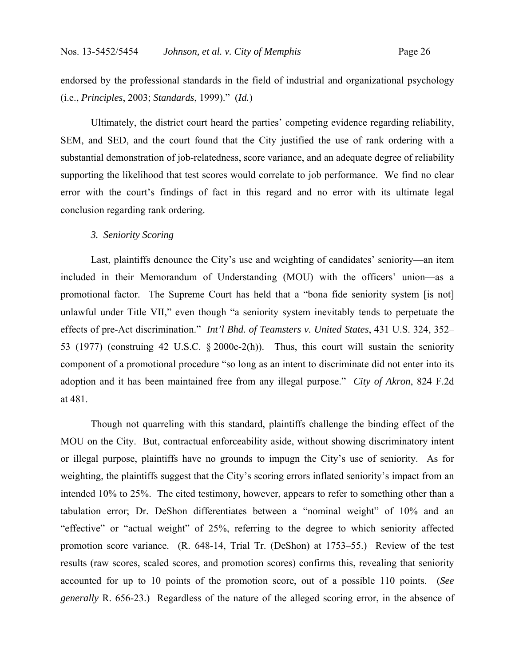endorsed by the professional standards in the field of industrial and organizational psychology (i.e., *Principles*, 2003; *Standards*, 1999)." (*Id.*)

 Ultimately, the district court heard the parties' competing evidence regarding reliability, SEM, and SED, and the court found that the City justified the use of rank ordering with a substantial demonstration of job-relatedness, score variance, and an adequate degree of reliability supporting the likelihood that test scores would correlate to job performance. We find no clear error with the court's findings of fact in this regard and no error with its ultimate legal conclusion regarding rank ordering.

### *3. Seniority Scoring*

 Last, plaintiffs denounce the City's use and weighting of candidates' seniority—an item included in their Memorandum of Understanding (MOU) with the officers' union—as a promotional factor. The Supreme Court has held that a "bona fide seniority system [is not] unlawful under Title VII," even though "a seniority system inevitably tends to perpetuate the effects of pre-Act discrimination." *Int'l Bhd. of Teamsters v. United States*, 431 U.S. 324, 352– 53 (1977) (construing 42 U.S.C. § 2000e-2(h)). Thus, this court will sustain the seniority component of a promotional procedure "so long as an intent to discriminate did not enter into its adoption and it has been maintained free from any illegal purpose." *City of Akron*, 824 F.2d at 481.

 Though not quarreling with this standard, plaintiffs challenge the binding effect of the MOU on the City. But, contractual enforceability aside, without showing discriminatory intent or illegal purpose, plaintiffs have no grounds to impugn the City's use of seniority. As for weighting, the plaintiffs suggest that the City's scoring errors inflated seniority's impact from an intended 10% to 25%. The cited testimony, however, appears to refer to something other than a tabulation error; Dr. DeShon differentiates between a "nominal weight" of 10% and an "effective" or "actual weight" of 25%, referring to the degree to which seniority affected promotion score variance. (R. 648-14, Trial Tr. (DeShon) at 1753–55.) Review of the test results (raw scores, scaled scores, and promotion scores) confirms this, revealing that seniority accounted for up to 10 points of the promotion score, out of a possible 110 points. (*See generally* R. 656-23.) Regardless of the nature of the alleged scoring error, in the absence of